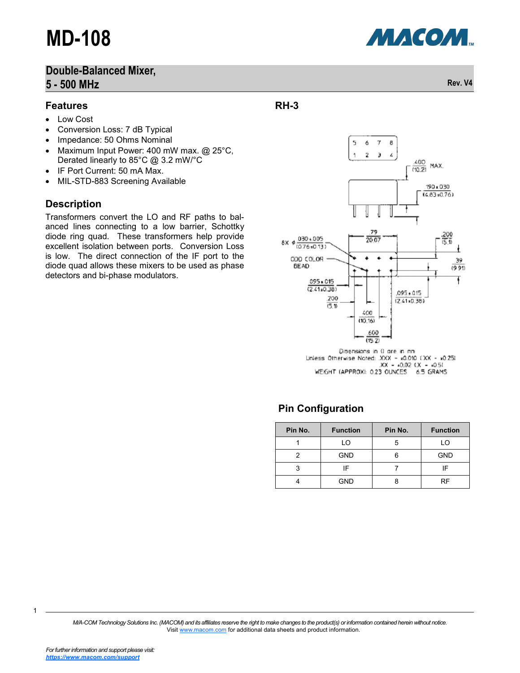### **Double-Balanced Mixer, 5 - 500 MHz Rev. V4**

#### **Features**

- Low Cost
- Conversion Loss: 7 dB Typical
- Impedance: 50 Ohms Nominal
- Maximum Input Power: 400 mW max. @ 25°C, Derated linearly to 85°C @ 3.2 mW/°C
- IF Port Current: 50 mA Max.
- MIL-STD-883 Screening Available

#### **Description**

Transformers convert the LO and RF paths to balanced lines connecting to a low barrier, Schottky diode ring quad. These transformers help provide excellent isolation between ports. Conversion Loss is low. The direct connection of the IF port to the diode quad allows these mixers to be used as phase detectors and bi-phase modulators.



**RH-3**



5

ó  $\overline{J}$  $\bar{\mathbf{z}}$ э  $\pmb{\mathcal{L}}$ 

e,

Dimensions in 0 are in mm Linless Otherwise Noted: .XXX = x0.010 (.XX - x0.25)  $XX - 0.02$   $(X - 0.5)$ WEIGHT (APPROX): 0.23 OUNCES 6.5 GRAMS

### **Pin Configuration**

| Pin No. | <b>Function</b> | Pin No.<br><b>Function</b> |    |
|---------|-----------------|----------------------------|----|
|         | LO              | LO<br>5                    |    |
|         | <b>GND</b>      | <b>GND</b><br>6            |    |
| 3       | IF              | ίF                         |    |
|         | <b>GND</b>      |                            | RF |

*M/A-COM Technology Solutions Inc. (MACOM) and its affiliates reserve the right to make changes to the product(s) or information contained herein without notice.*  Visit [www.macom.com](http://www.macom.com/) for additional data sheets and product information.



1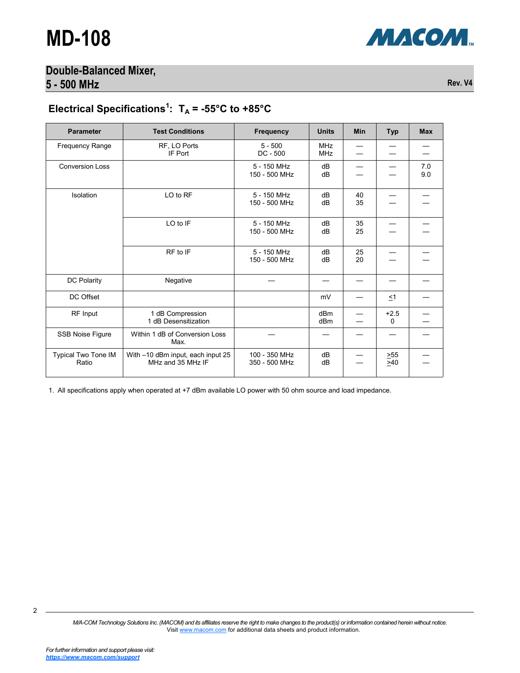

#### **Double-Balanced Mixer, 5 - 500 MHz Rev. V4**

## Electrical Specifications<sup>1</sup>:  $T_A = -55^{\circ}C$  to  $+85^{\circ}C$

| <b>Parameter</b>             | <b>Test Conditions</b>                                 | <b>Frequency</b>               | <b>Units</b>             | Min      | <b>Typ</b>  | <b>Max</b> |
|------------------------------|--------------------------------------------------------|--------------------------------|--------------------------|----------|-------------|------------|
| Frequency Range              | RF, LO Ports<br>IF Port                                | $5 - 500$<br>$DC - 500$        | <b>MHz</b><br><b>MHz</b> |          |             |            |
| <b>Conversion Loss</b>       |                                                        | 5 - 150 MHz<br>150 - 500 MHz   | dB<br>dB                 |          |             | 7.0<br>9.0 |
| Isolation                    | LO to RF                                               | 5 - 150 MHz<br>150 - 500 MHz   | dB<br>dB                 | 40<br>35 |             |            |
|                              | LO to IF                                               | 5 - 150 MHz<br>150 - 500 MHz   | dB<br>dB                 | 35<br>25 |             |            |
|                              | RF to IF                                               | 5 - 150 MHz<br>150 - 500 MHz   | dB<br>dB                 | 25<br>20 |             |            |
| DC Polarity                  | Negative                                               |                                |                          |          |             |            |
| DC Offset                    |                                                        |                                | mV                       |          | $\leq$ 1    |            |
| RF Input                     | 1 dB Compression<br>1 dB Desensitization               |                                | dBm<br>dBm               |          | $+2.5$<br>0 |            |
| <b>SSB Noise Figure</b>      | Within 1 dB of Conversion Loss<br>Max.                 |                                |                          |          |             |            |
| Typical Two Tone IM<br>Ratio | With -10 dBm input, each input 25<br>MHz and 35 MHz IF | 100 - 350 MHz<br>350 - 500 MHz | dB<br>dB                 |          | >55<br>>40  |            |

1. All specifications apply when operated at +7 dBm available LO power with 50 ohm source and load impedance.

*M/A-COM Technology Solutions Inc. (MACOM) and its affiliates reserve the right to make changes to the product(s) or information contained herein without notice.*  Visit [www.macom.com](http://www.macom.com/) for additional data sheets and product information.

2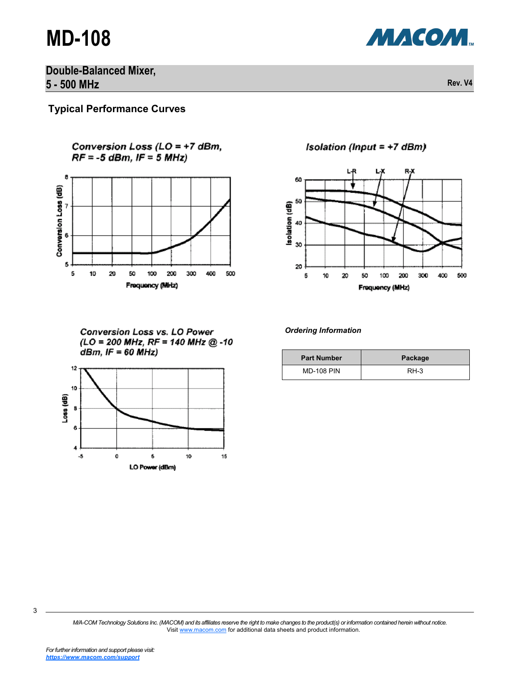# **MD-108**



**Double-Balanced Mixer, 5 - 500 MHz Rev. V4**

**Typical Performance Curves**

Conversion Loss (LO = +7 dBm,  $RF = -5$  dBm, IF = 5 MHz)



**Conversion Loss vs. LO Power**  $(LO = 200 MHz, RF = 140 MHz @ -10$  $dBm$ , IF = 60 MHz)



Isolation (Input = +7 dBm)



*Ordering Information*

| <b>Part Number</b> | Package |  |  |
|--------------------|---------|--|--|
| <b>MD-108 PIN</b>  | $RH-3$  |  |  |

*M/A-COM Technology Solutions Inc. (MACOM) and its affiliates reserve the right to make changes to the product(s) or information contained herein without notice.*  Visit [www.macom.com](http://www.macom.com/) for additional data sheets and product information.